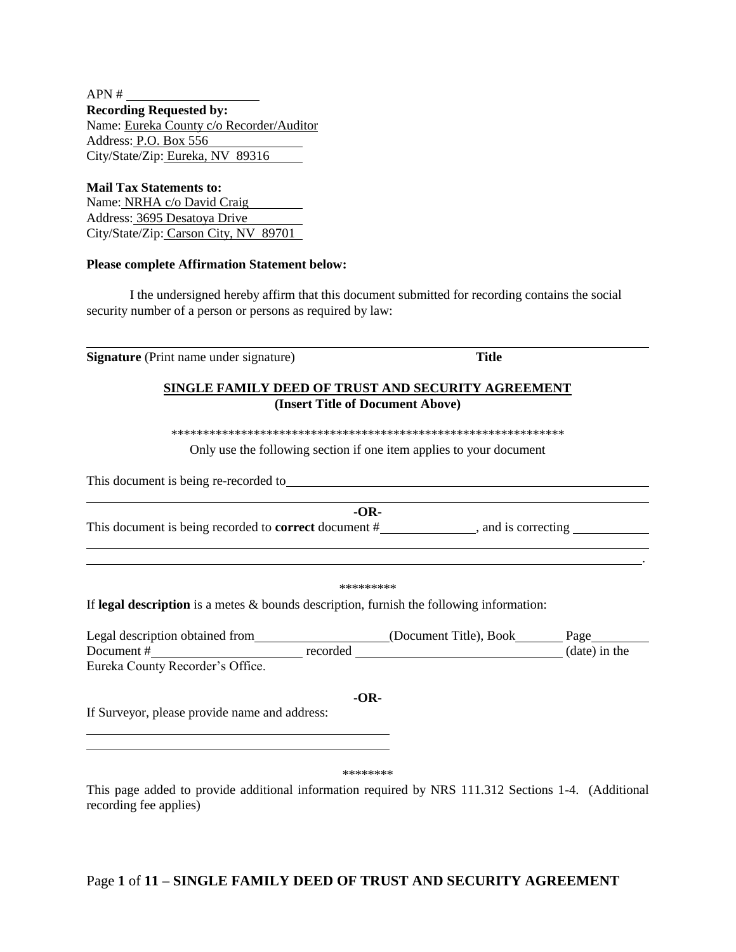APN # **Recording Requested by:** Name: Eureka County c/o Recorder/Auditor Address: P.O. Box 556 City/State/Zip: Eureka, NV 89316

**Mail Tax Statements to:** Name: NRHA c/o David Craig Address: 3695 Desatoya Drive City/State/Zip: Carson City, NV 89701

#### **Please complete Affirmation Statement below:**

I the undersigned hereby affirm that this document submitted for recording contains the social security number of a person or persons as required by law:

**Signature** (Print name under signature) **Title SINGLE FAMILY DEED OF TRUST AND SECURITY AGREEMENT (Insert Title of Document Above)** \*\*\*\*\*\*\*\*\*\*\*\*\*\*\*\*\*\*\*\*\*\*\*\*\*\*\*\*\*\*\*\*\*\*\*\*\*\*\*\*\*\*\*\*\*\*\*\*\*\*\*\*\*\*\*\*\*\*\*\*\*\* Only use the following section if one item applies to your document This document is being re-recorded to **-OR-**This document is being recorded to **correct** document # , and is correcting . \*\*\*\*\*\*\*\*\* If **legal description** is a metes & bounds description, furnish the following information: Legal description obtained from (Document Title), Book Page Document # recorded (date) in the Eureka County Recorder's Office. **-OR-**If Surveyor, please provide name and address:

#### \*\*\*\*\*\*\*\*

This page added to provide additional information required by NRS 111.312 Sections 1-4. (Additional recording fee applies)

### Page **1** of **11 – SINGLE FAMILY DEED OF TRUST AND SECURITY AGREEMENT**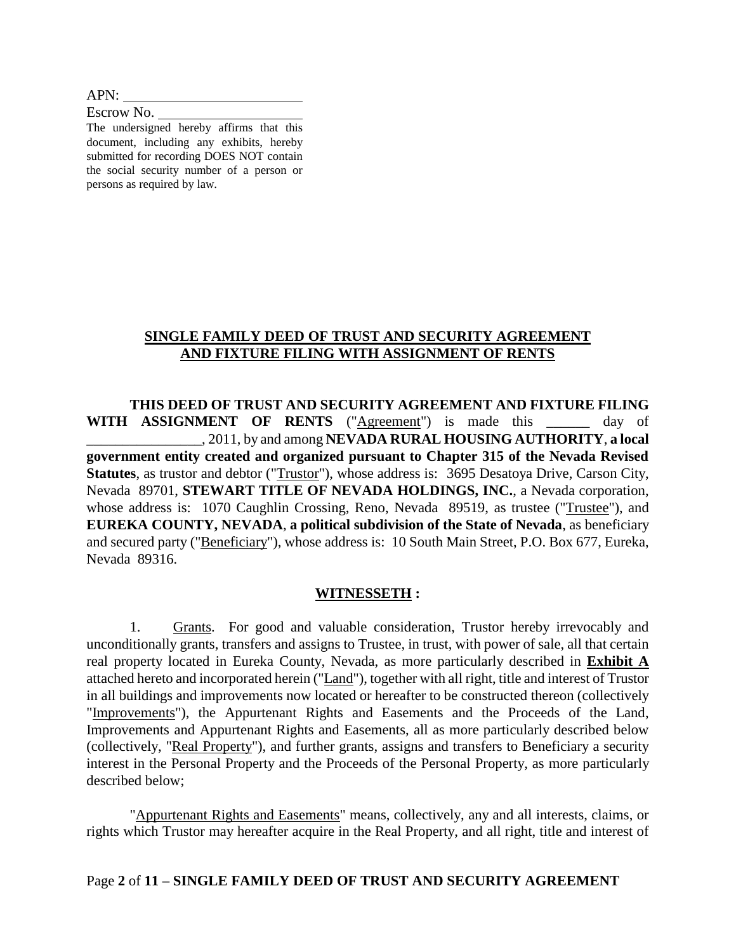APN:

Escrow No.

The undersigned hereby affirms that this document, including any exhibits, hereby submitted for recording DOES NOT contain the social security number of a person or persons as required by law.

## **SINGLE FAMILY DEED OF TRUST AND SECURITY AGREEMENT AND FIXTURE FILING WITH ASSIGNMENT OF RENTS**

**THIS DEED OF TRUST AND SECURITY AGREEMENT AND FIXTURE FILING WITH ASSIGNMENT OF RENTS** ("Agreement") is made this \_\_\_\_\_\_ day of \_\_\_\_\_\_\_\_\_\_\_\_\_\_\_\_, 2011, by and among **NEVADA RURAL HOUSING AUTHORITY**, **a local government entity created and organized pursuant to Chapter 315 of the Nevada Revised Statutes**, as trustor and debtor ("Trustor"), whose address is: 3695 Desatoya Drive, Carson City, Nevada 89701, **STEWART TITLE OF NEVADA HOLDINGS, INC.**, a Nevada corporation, whose address is: 1070 Caughlin Crossing, Reno, Nevada 89519, as trustee ("Trustee"), and **EUREKA COUNTY, NEVADA**, **a political subdivision of the State of Nevada**, as beneficiary and secured party ("Beneficiary"), whose address is: 10 South Main Street, P.O. Box 677, Eureka, Nevada 89316.

### **WITNESSETH :**

1. Grants. For good and valuable consideration, Trustor hereby irrevocably and unconditionally grants, transfers and assigns to Trustee, in trust, with power of sale, all that certain real property located in Eureka County, Nevada, as more particularly described in **Exhibit A** attached hereto and incorporated herein ("Land"), together with all right, title and interest of Trustor in all buildings and improvements now located or hereafter to be constructed thereon (collectively "Improvements"), the Appurtenant Rights and Easements and the Proceeds of the Land, Improvements and Appurtenant Rights and Easements, all as more particularly described below (collectively, "Real Property"), and further grants, assigns and transfers to Beneficiary a security interest in the Personal Property and the Proceeds of the Personal Property, as more particularly described below;

"Appurtenant Rights and Easements" means, collectively, any and all interests, claims, or rights which Trustor may hereafter acquire in the Real Property, and all right, title and interest of

#### Page **2** of **11 – SINGLE FAMILY DEED OF TRUST AND SECURITY AGREEMENT**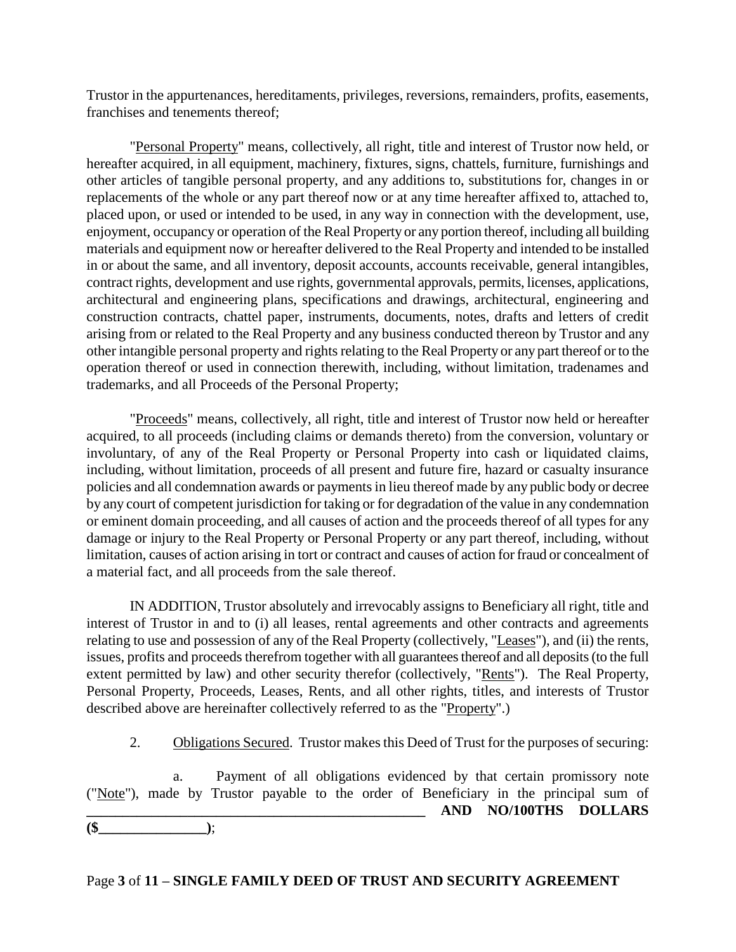Trustor in the appurtenances, hereditaments, privileges, reversions, remainders, profits, easements, franchises and tenements thereof;

"Personal Property" means, collectively, all right, title and interest of Trustor now held, or hereafter acquired, in all equipment, machinery, fixtures, signs, chattels, furniture, furnishings and other articles of tangible personal property, and any additions to, substitutions for, changes in or replacements of the whole or any part thereof now or at any time hereafter affixed to, attached to, placed upon, or used or intended to be used, in any way in connection with the development, use, enjoyment, occupancy or operation of the Real Property or any portion thereof, including all building materials and equipment now or hereafter delivered to the Real Property and intended to be installed in or about the same, and all inventory, deposit accounts, accounts receivable, general intangibles, contract rights, development and use rights, governmental approvals, permits, licenses, applications, architectural and engineering plans, specifications and drawings, architectural, engineering and construction contracts, chattel paper, instruments, documents, notes, drafts and letters of credit arising from or related to the Real Property and any business conducted thereon by Trustor and any other intangible personal property and rights relating to the Real Property or any part thereof or to the operation thereof or used in connection therewith, including, without limitation, tradenames and trademarks, and all Proceeds of the Personal Property;

"Proceeds" means, collectively, all right, title and interest of Trustor now held or hereafter acquired, to all proceeds (including claims or demands thereto) from the conversion, voluntary or involuntary, of any of the Real Property or Personal Property into cash or liquidated claims, including, without limitation, proceeds of all present and future fire, hazard or casualty insurance policies and all condemnation awards or payments in lieu thereof made by any public body or decree by any court of competent jurisdiction for taking or for degradation of the value in any condemnation or eminent domain proceeding, and all causes of action and the proceeds thereof of all types for any damage or injury to the Real Property or Personal Property or any part thereof, including, without limitation, causes of action arising in tort or contract and causes of action for fraud or concealment of a material fact, and all proceeds from the sale thereof.

IN ADDITION, Trustor absolutely and irrevocably assigns to Beneficiary all right, title and interest of Trustor in and to (i) all leases, rental agreements and other contracts and agreements relating to use and possession of any of the Real Property (collectively, "Leases"), and (ii) the rents, issues, profits and proceeds therefrom together with all guarantees thereof and all deposits (to the full extent permitted by law) and other security therefor (collectively, "Rents"). The Real Property, Personal Property, Proceeds, Leases, Rents, and all other rights, titles, and interests of Trustor described above are hereinafter collectively referred to as the "Property".)

2. Obligations Secured. Trustor makes this Deed of Trust for the purposes of securing:

a. Payment of all obligations evidenced by that certain promissory note ("Note"), made by Trustor payable to the order of Beneficiary in the principal sum of **\_\_\_\_\_\_\_\_\_\_\_\_\_\_\_\_\_\_\_\_\_\_\_\_\_\_\_\_\_\_\_\_\_\_\_\_\_\_\_\_\_\_\_\_\_\_\_ AND NO/100THS DOLLARS (\$\_\_\_\_\_\_\_\_\_\_\_\_\_\_\_)**;

## Page **3** of **11 – SINGLE FAMILY DEED OF TRUST AND SECURITY AGREEMENT**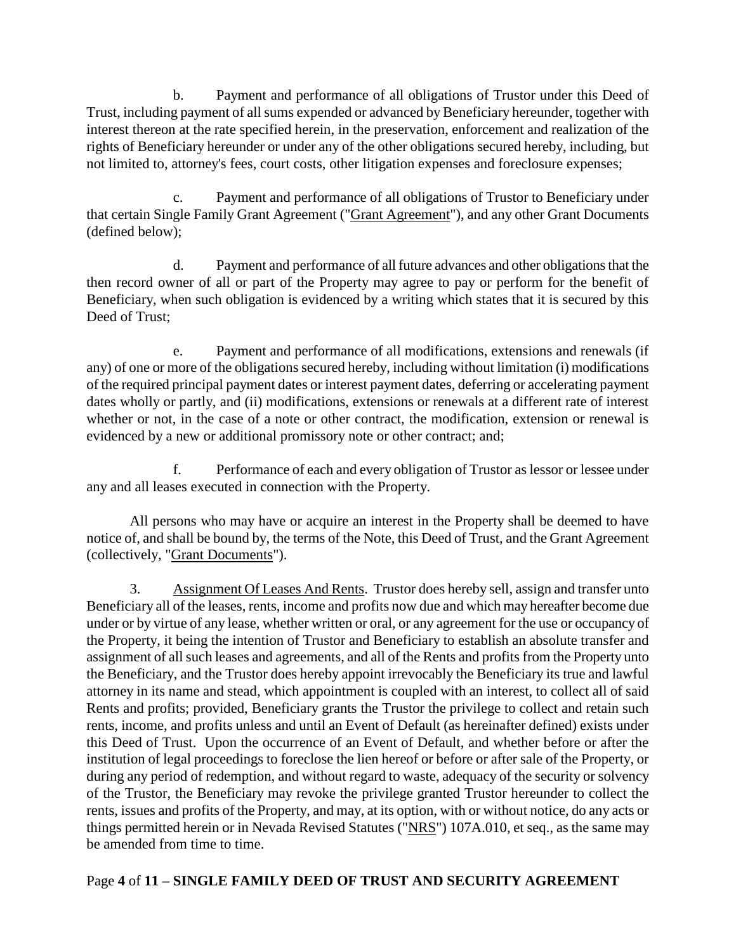b. Payment and performance of all obligations of Trustor under this Deed of Trust, including payment of all sums expended or advanced by Beneficiary hereunder, together with interest thereon at the rate specified herein, in the preservation, enforcement and realization of the rights of Beneficiary hereunder or under any of the other obligations secured hereby, including, but not limited to, attorney's fees, court costs, other litigation expenses and foreclosure expenses;

c. Payment and performance of all obligations of Trustor to Beneficiary under that certain Single Family Grant Agreement ("Grant Agreement"), and any other Grant Documents (defined below);

d. Payment and performance of all future advances and other obligations that the then record owner of all or part of the Property may agree to pay or perform for the benefit of Beneficiary, when such obligation is evidenced by a writing which states that it is secured by this Deed of Trust;

e. Payment and performance of all modifications, extensions and renewals (if any) of one or more of the obligations secured hereby, including without limitation (i) modifications of the required principal payment dates or interest payment dates, deferring or accelerating payment dates wholly or partly, and (ii) modifications, extensions or renewals at a different rate of interest whether or not, in the case of a note or other contract, the modification, extension or renewal is evidenced by a new or additional promissory note or other contract; and;

f. Performance of each and every obligation of Trustor as lessor or lessee under any and all leases executed in connection with the Property.

All persons who may have or acquire an interest in the Property shall be deemed to have notice of, and shall be bound by, the terms of the Note, this Deed of Trust, and the Grant Agreement (collectively, "Grant Documents").

3. Assignment Of Leases And Rents. Trustor does hereby sell, assign and transfer unto Beneficiary all of the leases, rents, income and profits now due and which may hereafter become due under or by virtue of any lease, whether written or oral, or any agreement for the use or occupancy of the Property, it being the intention of Trustor and Beneficiary to establish an absolute transfer and assignment of all such leases and agreements, and all of the Rents and profits from the Property unto the Beneficiary, and the Trustor does hereby appoint irrevocably the Beneficiary its true and lawful attorney in its name and stead, which appointment is coupled with an interest, to collect all of said Rents and profits; provided, Beneficiary grants the Trustor the privilege to collect and retain such rents, income, and profits unless and until an Event of Default (as hereinafter defined) exists under this Deed of Trust. Upon the occurrence of an Event of Default, and whether before or after the institution of legal proceedings to foreclose the lien hereof or before or after sale of the Property, or during any period of redemption, and without regard to waste, adequacy of the security or solvency of the Trustor, the Beneficiary may revoke the privilege granted Trustor hereunder to collect the rents, issues and profits of the Property, and may, at its option, with or without notice, do any acts or things permitted herein or in Nevada Revised Statutes ("NRS") 107A.010, et seq., as the same may be amended from time to time.

# Page **4** of **11 – SINGLE FAMILY DEED OF TRUST AND SECURITY AGREEMENT**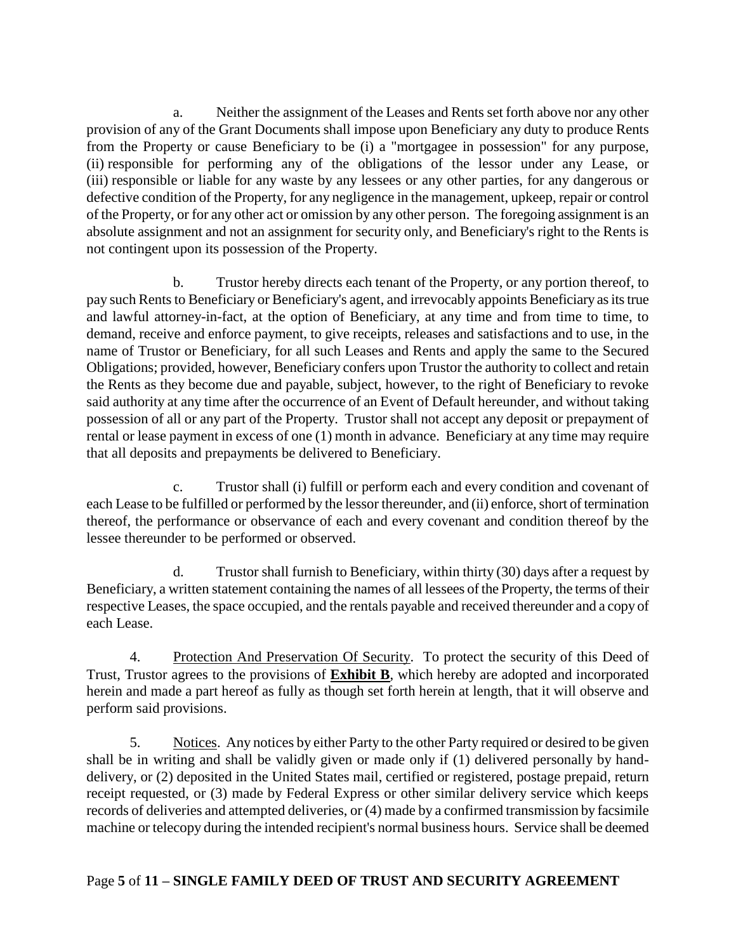a. Neither the assignment of the Leases and Rents set forth above nor any other provision of any of the Grant Documents shall impose upon Beneficiary any duty to produce Rents from the Property or cause Beneficiary to be (i) a "mortgagee in possession" for any purpose, (ii) responsible for performing any of the obligations of the lessor under any Lease, or (iii) responsible or liable for any waste by any lessees or any other parties, for any dangerous or defective condition of the Property, for any negligence in the management, upkeep, repair or control of the Property, or for any other act or omission by any other person. The foregoing assignment is an absolute assignment and not an assignment for security only, and Beneficiary's right to the Rents is not contingent upon its possession of the Property.

b. Trustor hereby directs each tenant of the Property, or any portion thereof, to pay such Rents to Beneficiary or Beneficiary's agent, and irrevocably appoints Beneficiary as its true and lawful attorney-in-fact, at the option of Beneficiary, at any time and from time to time, to demand, receive and enforce payment, to give receipts, releases and satisfactions and to use, in the name of Trustor or Beneficiary, for all such Leases and Rents and apply the same to the Secured Obligations; provided, however, Beneficiary confers upon Trustor the authority to collect and retain the Rents as they become due and payable, subject, however, to the right of Beneficiary to revoke said authority at any time after the occurrence of an Event of Default hereunder, and without taking possession of all or any part of the Property. Trustor shall not accept any deposit or prepayment of rental or lease payment in excess of one (1) month in advance. Beneficiary at any time may require that all deposits and prepayments be delivered to Beneficiary.

c. Trustor shall (i) fulfill or perform each and every condition and covenant of each Lease to be fulfilled or performed by the lessor thereunder, and (ii) enforce, short of termination thereof, the performance or observance of each and every covenant and condition thereof by the lessee thereunder to be performed or observed.

d. Trustor shall furnish to Beneficiary, within thirty (30) days after a request by Beneficiary, a written statement containing the names of all lessees of the Property, the terms of their respective Leases, the space occupied, and the rentals payable and received thereunder and a copy of each Lease.

4. Protection And Preservation Of Security. To protect the security of this Deed of Trust, Trustor agrees to the provisions of **Exhibit B**, which hereby are adopted and incorporated herein and made a part hereof as fully as though set forth herein at length, that it will observe and perform said provisions.

5. Notices. Any notices by either Party to the other Party required or desired to be given shall be in writing and shall be validly given or made only if (1) delivered personally by handdelivery, or (2) deposited in the United States mail, certified or registered, postage prepaid, return receipt requested, or (3) made by Federal Express or other similar delivery service which keeps records of deliveries and attempted deliveries, or (4) made by a confirmed transmission by facsimile machine or telecopy during the intended recipient's normal business hours. Service shall be deemed

# Page **5** of **11 – SINGLE FAMILY DEED OF TRUST AND SECURITY AGREEMENT**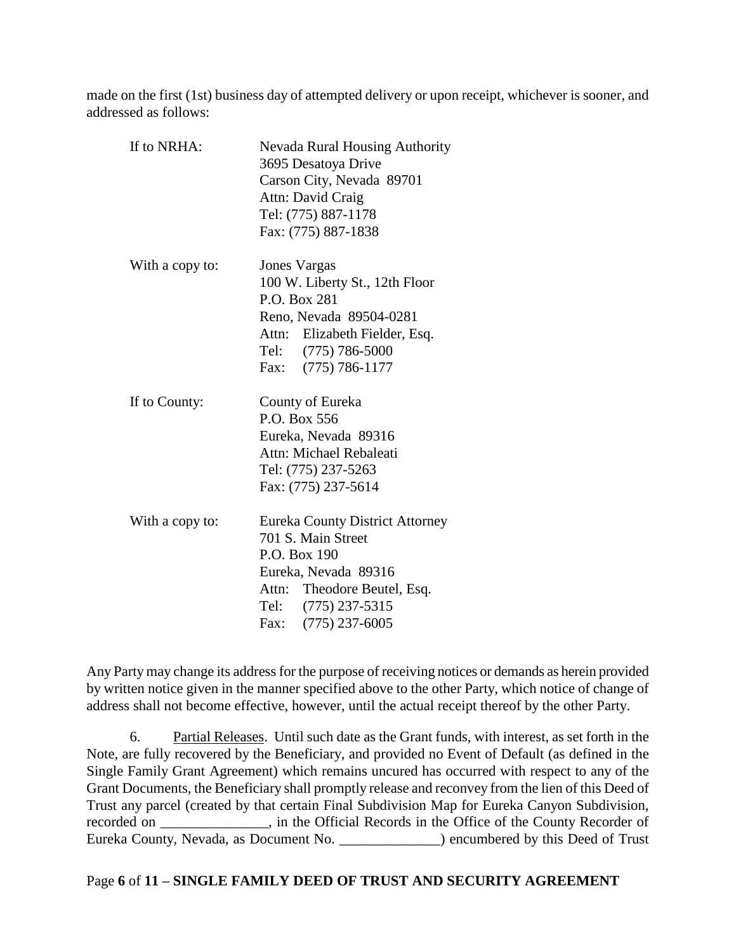made on the first (1st) business day of attempted delivery or upon receipt, whichever is sooner, and addressed as follows:

| If to NRHA:     | <b>Nevada Rural Housing Authority</b><br>3695 Desatoya Drive<br>Carson City, Nevada 89701<br>Attn: David Craig<br>Tel: (775) 887-1178<br>Fax: (775) 887-1838                      |
|-----------------|-----------------------------------------------------------------------------------------------------------------------------------------------------------------------------------|
| With a copy to: | <b>Jones Vargas</b><br>100 W. Liberty St., 12th Floor<br>P.O. Box 281<br>Reno, Nevada 89504-0281<br>Attn: Elizabeth Fielder, Esq.<br>Tel: (775) 786-5000<br>Fax: (775) 786-1177   |
| If to County:   | County of Eureka<br>P.O. Box 556<br>Eureka, Nevada 89316<br>Attn: Michael Rebaleati<br>Tel: (775) 237-5263<br>Fax: (775) 237-5614                                                 |
| With a copy to: | <b>Eureka County District Attorney</b><br>701 S. Main Street<br>P.O. Box 190<br>Eureka, Nevada 89316<br>Attn: Theodore Beutel, Esq.<br>Tel: (775) 237-5315<br>Fax: (775) 237-6005 |

Any Party may change its address for the purpose of receiving notices or demands as herein provided by written notice given in the manner specified above to the other Party, which notice of change of address shall not become effective, however, until the actual receipt thereof by the other Party.

6. Partial Releases. Until such date as the Grant funds, with interest, as set forth in the Note, are fully recovered by the Beneficiary, and provided no Event of Default (as defined in the Single Family Grant Agreement) which remains uncured has occurred with respect to any of the Grant Documents, the Beneficiary shall promptly release and reconvey from the lien of this Deed of Trust any parcel (created by that certain Final Subdivision Map for Eureka Canyon Subdivision, recorded on \_\_\_\_\_\_\_\_\_\_\_\_\_\_\_, in the Official Records in the Office of the County Recorder of Eureka County, Nevada, as Document No. \_\_\_\_\_\_\_\_\_\_\_\_\_\_) encumbered by this Deed of Trust

## Page **6** of **11 – SINGLE FAMILY DEED OF TRUST AND SECURITY AGREEMENT**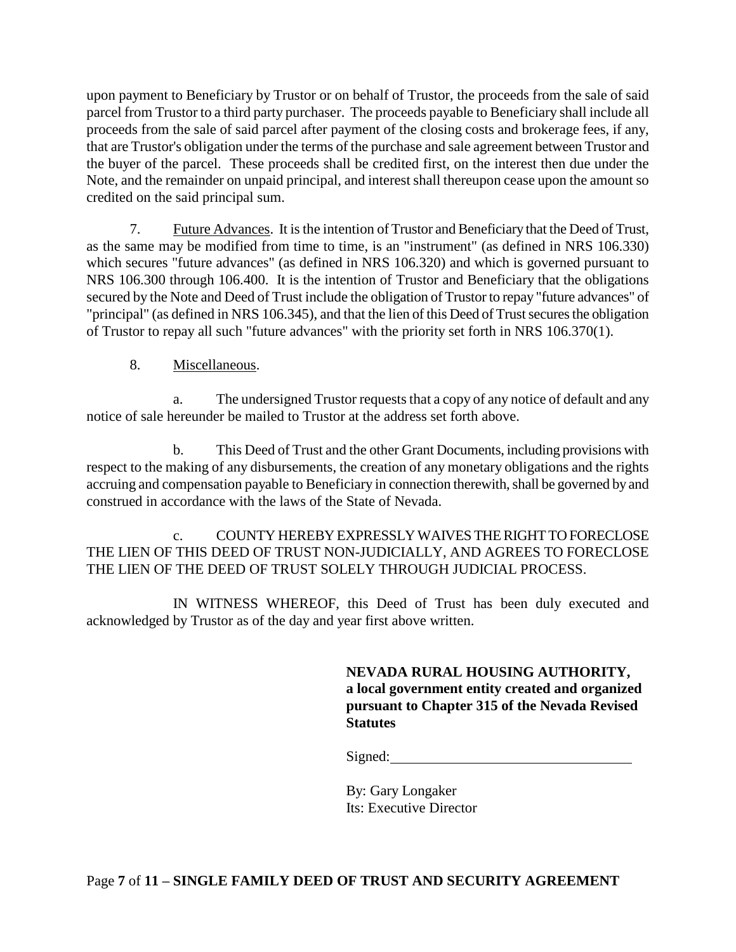upon payment to Beneficiary by Trustor or on behalf of Trustor, the proceeds from the sale of said parcel from Trustor to a third party purchaser. The proceeds payable to Beneficiary shall include all proceeds from the sale of said parcel after payment of the closing costs and brokerage fees, if any, that are Trustor's obligation under the terms of the purchase and sale agreement between Trustor and the buyer of the parcel. These proceeds shall be credited first, on the interest then due under the Note, and the remainder on unpaid principal, and interest shall thereupon cease upon the amount so credited on the said principal sum.

7. Future Advances. It is the intention of Trustor and Beneficiary that the Deed of Trust, as the same may be modified from time to time, is an "instrument" (as defined in NRS 106.330) which secures "future advances" (as defined in NRS 106.320) and which is governed pursuant to NRS 106.300 through 106.400. It is the intention of Trustor and Beneficiary that the obligations secured by the Note and Deed of Trust include the obligation of Trustor to repay "future advances" of "principal" (as defined in NRS 106.345), and that the lien of this Deed of Trust secures the obligation of Trustor to repay all such "future advances" with the priority set forth in NRS 106.370(1).

# 8. Miscellaneous.

a. The undersigned Trustor requests that a copy of any notice of default and any notice of sale hereunder be mailed to Trustor at the address set forth above.

b. This Deed of Trust and the other Grant Documents, including provisions with respect to the making of any disbursements, the creation of any monetary obligations and the rights accruing and compensation payable to Beneficiary in connection therewith, shall be governed by and construed in accordance with the laws of the State of Nevada.

c. COUNTY HEREBY EXPRESSLY WAIVES THE RIGHT TO FORECLOSE THE LIEN OF THIS DEED OF TRUST NON-JUDICIALLY, AND AGREES TO FORECLOSE THE LIEN OF THE DEED OF TRUST SOLELY THROUGH JUDICIAL PROCESS.

IN WITNESS WHEREOF, this Deed of Trust has been duly executed and acknowledged by Trustor as of the day and year first above written.

> **NEVADA RURAL HOUSING AUTHORITY, a local government entity created and organized pursuant to Chapter 315 of the Nevada Revised Statutes**

Signed:

By: Gary Longaker Its: Executive Director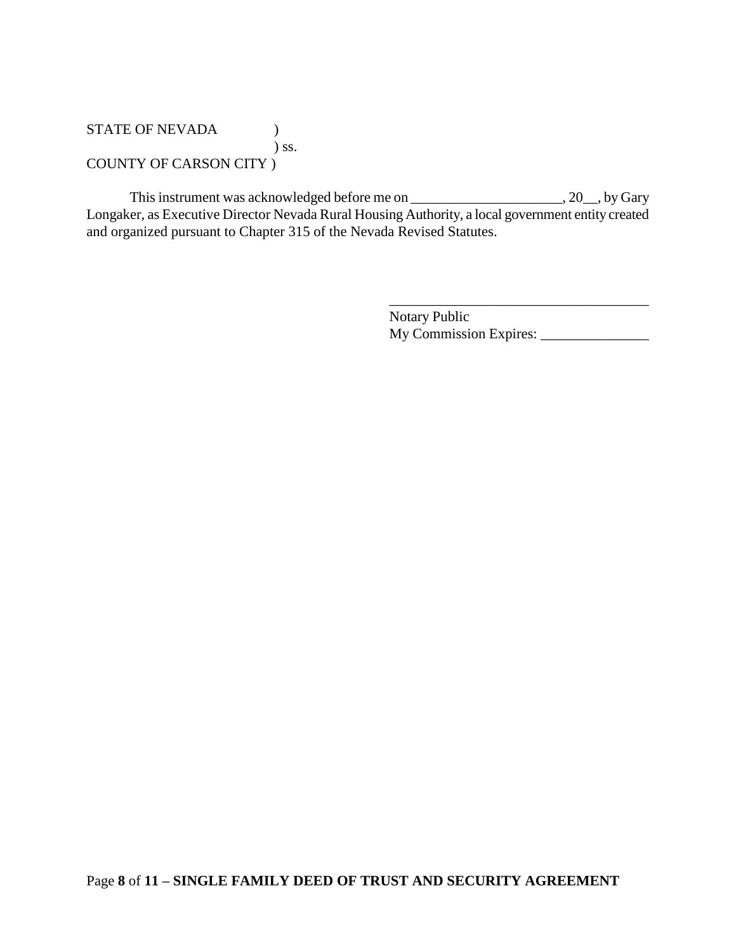## STATE OF NEVADA (1) ) ss. COUNTY OF CARSON CITY )

This instrument was acknowledged before me on \_\_\_\_\_\_\_\_\_\_\_\_\_\_\_\_\_\_\_\_\_\_, 20\_\_, by Gary Longaker, as Executive Director Nevada Rural Housing Authority, a local government entity created and organized pursuant to Chapter 315 of the Nevada Revised Statutes.

> Notary Public My Commission Expires: \_\_\_\_\_\_\_\_\_\_\_\_\_\_\_

\_\_\_\_\_\_\_\_\_\_\_\_\_\_\_\_\_\_\_\_\_\_\_\_\_\_\_\_\_\_\_\_\_\_\_\_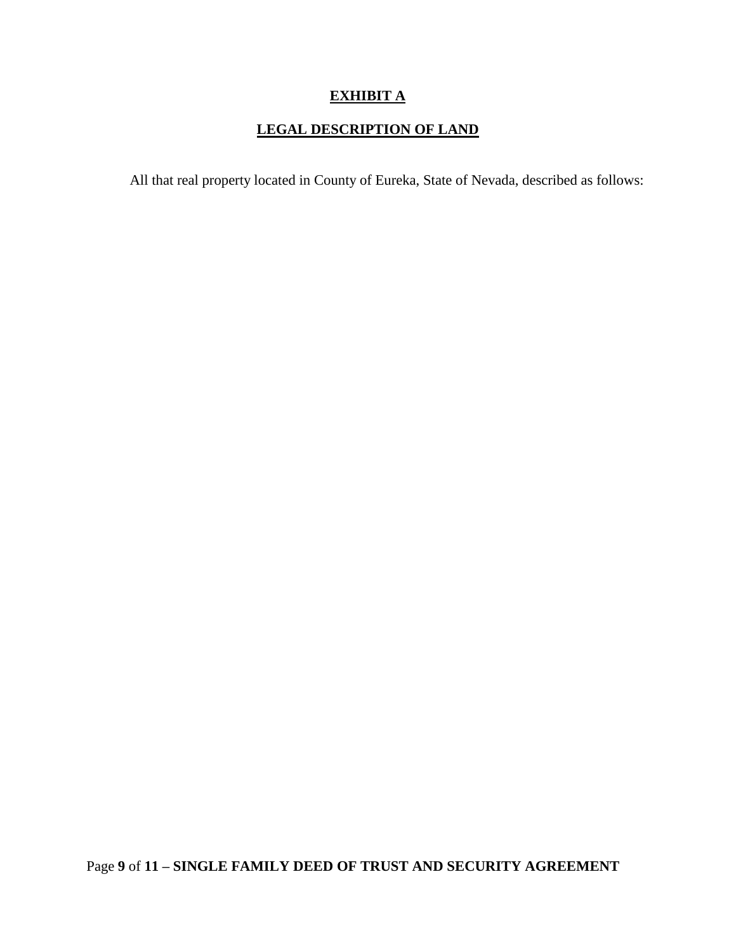# **EXHIBIT A**

# **LEGAL DESCRIPTION OF LAND**

All that real property located in County of Eureka, State of Nevada, described as follows:

Page **9** of **11 – SINGLE FAMILY DEED OF TRUST AND SECURITY AGREEMENT**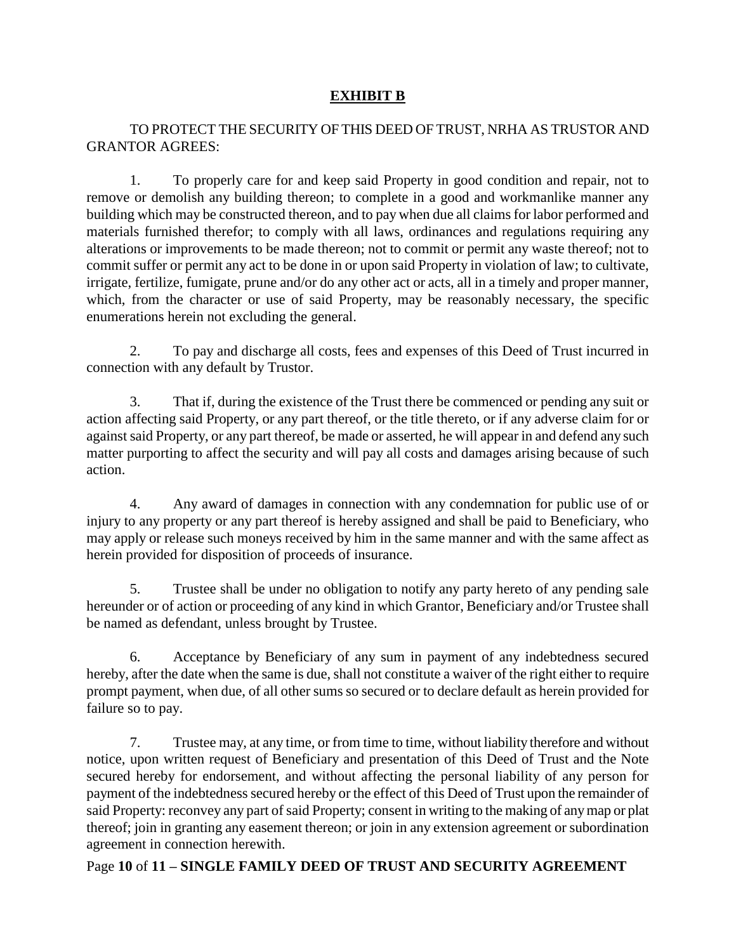# **EXHIBIT B**

TO PROTECT THE SECURITY OF THIS DEED OF TRUST, NRHA AS TRUSTOR AND GRANTOR AGREES:

1. To properly care for and keep said Property in good condition and repair, not to remove or demolish any building thereon; to complete in a good and workmanlike manner any building which may be constructed thereon, and to pay when due all claims for labor performed and materials furnished therefor; to comply with all laws, ordinances and regulations requiring any alterations or improvements to be made thereon; not to commit or permit any waste thereof; not to commit suffer or permit any act to be done in or upon said Property in violation of law; to cultivate, irrigate, fertilize, fumigate, prune and/or do any other act or acts, all in a timely and proper manner, which, from the character or use of said Property, may be reasonably necessary, the specific enumerations herein not excluding the general.

2. To pay and discharge all costs, fees and expenses of this Deed of Trust incurred in connection with any default by Trustor.

3. That if, during the existence of the Trust there be commenced or pending any suit or action affecting said Property, or any part thereof, or the title thereto, or if any adverse claim for or against said Property, or any part thereof, be made or asserted, he will appear in and defend any such matter purporting to affect the security and will pay all costs and damages arising because of such action.

4. Any award of damages in connection with any condemnation for public use of or injury to any property or any part thereof is hereby assigned and shall be paid to Beneficiary, who may apply or release such moneys received by him in the same manner and with the same affect as herein provided for disposition of proceeds of insurance.

5. Trustee shall be under no obligation to notify any party hereto of any pending sale hereunder or of action or proceeding of any kind in which Grantor, Beneficiary and/or Trustee shall be named as defendant, unless brought by Trustee.

6. Acceptance by Beneficiary of any sum in payment of any indebtedness secured hereby, after the date when the same is due, shall not constitute a waiver of the right either to require prompt payment, when due, of all other sums so secured or to declare default as herein provided for failure so to pay.

7. Trustee may, at any time, or from time to time, without liability therefore and without notice, upon written request of Beneficiary and presentation of this Deed of Trust and the Note secured hereby for endorsement, and without affecting the personal liability of any person for payment of the indebtedness secured hereby or the effect of this Deed of Trust upon the remainder of said Property: reconvey any part of said Property; consent in writing to the making of any map or plat thereof; join in granting any easement thereon; or join in any extension agreement or subordination agreement in connection herewith.

Page **10** of **11 – SINGLE FAMILY DEED OF TRUST AND SECURITY AGREEMENT**